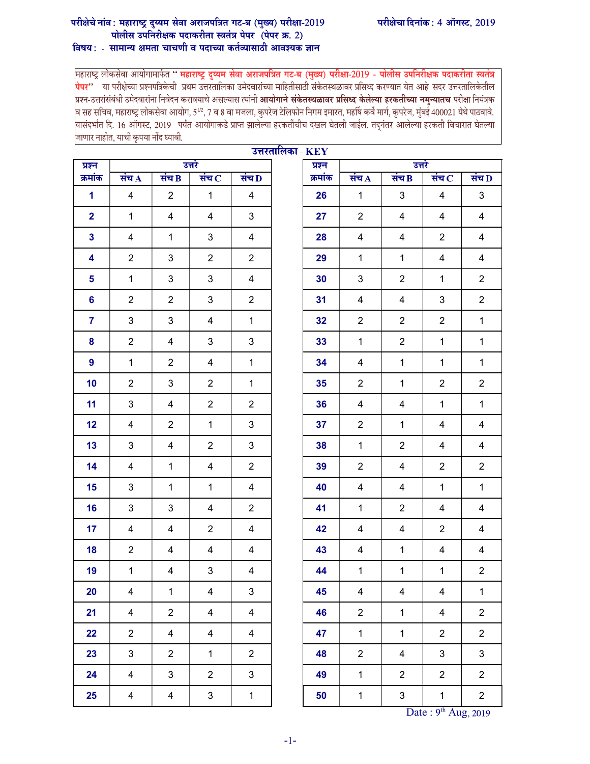## परीक्षेचे नांव : महाराष्ट्र दुय्यम सेवा अराजपत्रित गट-ब (मुख्य) परीक्षा-2019<br>पोलीस उपनिरीक्षक पदाकरीता स्वतंत्र पेपर (पेपर क्र. 2)

## विषय: - सामान्य क्षमता चाचणी व पदाच्या कर्तव्यासाठी आवश्यक ज्ञान

महाराष्ट्र लोकसेवा आयोगामार्फत " महाराष्ट्र दुय्यम सेवा अराजपत्रित गट-ब (मुख्य) परीक्षा-2019 - पोलीस उपनिरीक्षक पदाकरीता स्वतंत्र <mark>पेपर''</mark> या परीक्षेच्या प्रश्नपत्रिकेची प्रथम उत्तरतालिका उमेदवारांच्या माहितीसाठी संकेतस्थळावर प्रसिध्द करण्यात येत आहे सदर उत्तरतालिकेतील<br>प्रश्न-उत्तरांसंबंधी उमेदवारांना निवेदन करावयाचे असल्यास त्यांनी **आयोगाने संकेतस** जाणार नाहीत, याची कृपया नोंद घ्यावी.

|                         |                         |                           |                         |                          | उत्तरतालिका - |
|-------------------------|-------------------------|---------------------------|-------------------------|--------------------------|---------------|
| प्रश्न                  |                         |                           | उत्तरे                  |                          |               |
| क्रमांक                 | संच $\overline{A}$      | संच $\bf{B}$              | संच $\,$                | संच D                    |               |
| 1                       | $\overline{\mathbf{4}}$ | $\overline{c}$            | $\mathbf 1$             | 4                        |               |
| $\overline{\mathbf{2}}$ | $\mathbf{1}$            | $\overline{\mathbf{4}}$   | 4                       | 3                        |               |
| 3                       | $\overline{\mathbf{4}}$ | $\mathbf{1}$              | 3                       | $\overline{\mathbf{4}}$  |               |
| $\overline{\mathbf{4}}$ | $\overline{\mathbf{c}}$ | 3                         | $\overline{\mathbf{c}}$ | $\overline{c}$           |               |
| 5                       | $\mathbf 1$             | 3                         | 3                       | 4                        |               |
| 6                       | $\overline{\mathbf{c}}$ | $\overline{c}$            | 3                       | $\overline{c}$           |               |
| $\overline{\mathbf{7}}$ | 3                       | $\ensuremath{\mathsf{3}}$ | $\overline{\mathbf{4}}$ | $\mathbf{1}$             |               |
| 8                       | $\overline{c}$          | $\overline{\mathbf{4}}$   | 3                       | 3                        |               |
| 9                       | $\mathbf 1$             | $\overline{c}$            | 4                       | $\mathbf 1$              |               |
| 10                      | $\overline{\mathbf{c}}$ | 3                         | $\overline{\mathbf{c}}$ | $\mathbf 1$              |               |
| 11                      | 3                       | 4                         | 2                       | $\overline{c}$           |               |
| 12                      | $\overline{\mathbf{4}}$ | $\overline{c}$            | $\mathbf 1$             | 3                        |               |
| 13                      | 3                       | $\overline{\mathbf{4}}$   | $\overline{c}$          | 3                        |               |
| 14                      | 4                       | $\mathbf 1$               | 4                       | $\overline{2}$           |               |
| 15                      | 3                       | $\mathbf 1$               | 1                       | 4                        |               |
| 16                      | 3                       | 3                         | 4                       | $\overline{c}$           |               |
| 17                      | $\overline{\mathbf{4}}$ | $\overline{\mathbf{4}}$   | $\overline{c}$          | $\overline{\mathbf{4}}$  |               |
| 18                      | $\overline{\mathbf{c}}$ | $\overline{\mathbf{4}}$   | $\overline{\mathbf{4}}$ | $\overline{\mathbf{4}}$  |               |
| 19                      | $\mathbf 1$             | 4                         | 3                       | $\overline{\mathcal{A}}$ |               |
| 20                      | $\overline{\mathbf{4}}$ | $\mathbf 1$               | $\overline{\mathbf{4}}$ | 3                        |               |
| 21                      | $\overline{\mathbf{4}}$ | $\overline{c}$            | $\overline{\mathbf{4}}$ | $\overline{\mathbf{4}}$  |               |
| 22                      | $\overline{\mathbf{c}}$ | 4                         | $\overline{\mathbf{4}}$ | 4                        |               |
| 23                      | 3                       | $\overline{\mathbf{c}}$   | $\mathbf{1}$            | $\overline{\mathbf{c}}$  |               |
| 24                      | 4                       | 3                         | $\overline{\mathbf{c}}$ | 3                        |               |
| 25                      | $\overline{\mathbf{4}}$ | 4                         | 3                       | $\mathbf 1$              |               |

|                         | उत्तरतालिका - $\mathbf{KEY}$<br>उत्तरे<br>उत्तरे |                |                |                |         |                    |                |                  |                |  |
|-------------------------|--------------------------------------------------|----------------|----------------|----------------|---------|--------------------|----------------|------------------|----------------|--|
| श्नि                    |                                                  |                |                |                | प्रश्न  |                    |                |                  |                |  |
| मांक                    | संच $\overline{A}$                               | संच $\bf{B}$   | संच $\bf C$    | संच $\bf D$    | क्रमांक | संच $\overline{A}$ | संच $\bf{B}$   | संच $\, {\bf c}$ | संच $\bf D$    |  |
| $\blacktriangleleft$    | 4                                                | $\overline{2}$ | $\mathbf{1}$   | 4              | 26      | $\mathbf{1}$       | 3              | 4                | 3              |  |
| $\overline{2}$          | $\mathbf{1}$                                     | 4              | 4              | $\mathbf{3}$   | 27      | $\overline{2}$     | 4              | 4                | 4              |  |
| $\mathbf{3}$            | 4                                                | 1              | $\mathsf 3$    | 4              | 28      | 4                  | 4              | $\overline{2}$   | 4              |  |
| $\overline{\mathbf{4}}$ | $\overline{2}$                                   | 3              | $\overline{2}$ | $\overline{2}$ | 29      | $\mathbf{1}$       | $\mathbf{1}$   | 4                | 4              |  |
| $5\phantom{1}$          | $\mathbf{1}$                                     | 3              | 3              | $\overline{4}$ | 30      | 3                  | $\overline{2}$ | $\mathbf{1}$     | $\overline{2}$ |  |
| $6\phantom{1}$          | $\overline{2}$                                   | $\overline{2}$ | 3              | $\overline{2}$ | 31      | 4                  | 4              | 3                | $\overline{2}$ |  |
| $\overline{7}$          | $\mathbf{3}$                                     | 3              | 4              | $\mathbf{1}$   | 32      | $\overline{2}$     | $\overline{2}$ | $\overline{2}$   | $\mathbf{1}$   |  |
| 8                       | $\overline{c}$                                   | 4              | $\mathsf 3$    | 3              | 33      | $\mathbf{1}$       | $\overline{2}$ | $\mathbf{1}$     | $\mathbf{1}$   |  |
| 9                       | $\mathbf{1}$                                     | $\overline{2}$ | 4              | $\mathbf{1}$   | 34      | 4                  | $\mathbf{1}$   | $\mathbf{1}$     | $\mathbf{1}$   |  |
| 10                      | $\overline{2}$                                   | 3              | $\overline{2}$ | $\mathbf{1}$   | 35      | 2                  | $\mathbf{1}$   | $\overline{2}$   | $\overline{2}$ |  |
| 11                      | 3                                                | 4              | $\overline{2}$ | $\overline{2}$ | 36      | 4                  | 4              | $\mathbf{1}$     | $\mathbf{1}$   |  |
| 12                      | 4                                                | $\overline{2}$ | $\mathbf{1}$   | 3              | 37      | $\overline{2}$     | $\mathbf{1}$   | 4                | 4              |  |
| 13 <sup>°</sup>         | 3                                                | 4              | $\overline{2}$ | 3              | 38      | $\mathbf{1}$       | $\overline{2}$ | 4                | 4              |  |
| 14                      | 4                                                | $\mathbf{1}$   | 4              | $\overline{2}$ | 39      | $\overline{2}$     | 4              | $\overline{2}$   | $\overline{2}$ |  |
| 15 <sub>1</sub>         | 3                                                | $\mathbf{1}$   | $\mathbf{1}$   | $\overline{4}$ | 40      | 4                  | 4              | 1                | $\mathbf{1}$   |  |
| 16                      | 3                                                | 3              | 4              | $\overline{2}$ | 41      | $\mathbf{1}$       | $\overline{2}$ | 4                | 4              |  |
| 17 <sub>1</sub>         | 4                                                | 4              | $\overline{2}$ | 4              | 42      | 4                  | 4              | $\overline{2}$   | 4              |  |
| 18                      | $\overline{2}$                                   | 4              | 4              | 4              | 43      | 4                  | $\mathbf{1}$   | 4                | 4              |  |
| 19                      | $\mathbf{1}$                                     | 4              | 3              | $\overline{4}$ | 44      | $\mathbf{1}$       | $\mathbf{1}$   | $\mathbf{1}$     | $\overline{2}$ |  |
| 20                      | 4                                                | $\mathbf{1}$   | 4              | 3              | 45      | 4                  | 4              | 4                | 1              |  |
| 21                      | 4                                                | $\overline{2}$ | 4              | 4              | 46      | $\overline{2}$     | $\mathbf{1}$   | 4                | $\overline{2}$ |  |
| 22                      | $\overline{2}$                                   | 4              | 4              | 4              | 47      | $\mathbf 1$        | $\mathbf{1}$   | $\overline{2}$   | $\overline{2}$ |  |
| 23                      | 3                                                | $\overline{2}$ | 1              | $\overline{2}$ | 48      | $\overline{2}$     | 4              | 3                | 3              |  |
| 24                      | 4                                                | 3              | $\overline{2}$ | 3              | 49      | $\mathbf{1}$       | $\overline{2}$ | $\overline{2}$   | $\overline{2}$ |  |
| 25                      | 4                                                | 4              | 3              | $\mathbf{1}$   | 50      | $\mathbf{1}$       | 3              | $\mathbf{1}$     | $\overline{2}$ |  |

Date:  $9^{th}$  Aug, 2019